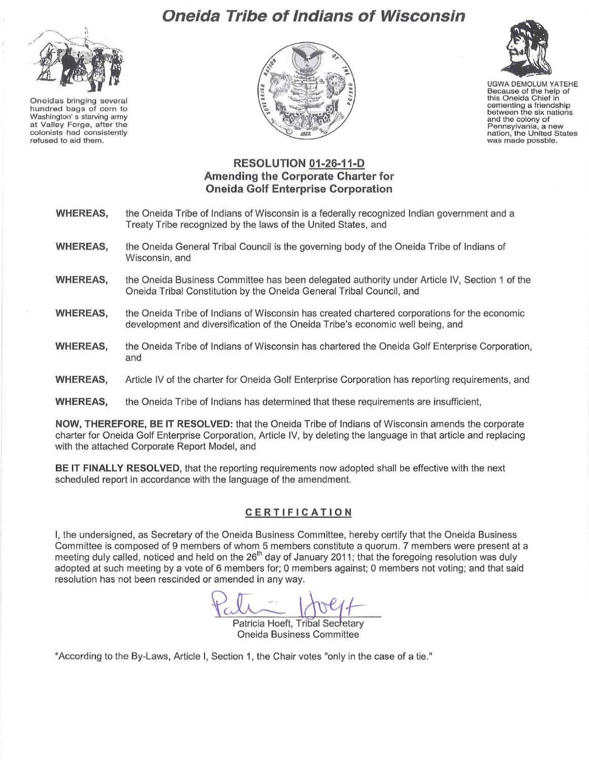# **Oneida Tribe of Indians of Wisconsin**



**Oneidas bringing several hundred bags of corn to Washington's starving army at Valley Forge, after the colonists had consistently refused to aid them.** 





UGWA DEMOLUM YATEHE **Because of the help of this Oneida Chief In cementing a friendship between the six nations and the colony of Pennsylvania. a new nation, the United States was made possble.** 

# **RESOLUTION 01-26-11-D Amending the Corporate Charter for Oneida Golf Enterprise Corporation**

- **WHEREAS,**  the Oneida Tribe of Indians of Wisconsin is a federally recognized Indian government and a Treaty Tribe recognized by the laws of the United States, and
- **WHEREAS,**  the Oneida General Tribal Council is the governing body of the Oneida Tribe of Indians of Wisconsin, and
- **WHEREAS,**  the Oneida Business Committee has been delegated authority under Article IV, Section 1 of the Oneida Tribal Constitution by the Oneida General Tribal Council, and
- **WHEREAS,**  the Oneida Tribe of Indians of Wisconsin has created chartered corporations for the economic development and diversification of the Oneida Tribe's economic well being, and
- **WHEREAS,**  the Oneida Tribe of Indians of Wisconsin has chartered the Oneida Golf Enterprise Corporation, and
- **WHEREAS,**  Article IV of the charter for Oneida Golf Enterprise Corporation has reporting requirements, and
- **WHEREAS,**  the Oneida Tribe of Indians has determined that these requirements are insufficient,

**NOW, THEREFORE, BE IT RESOLVED:** that the Oneida Tribe of Indians of Wisconsin amends the corporate charter for Oneida Golf Enterprise Corporation, Article IV, by deleting the language in that article and replacing with the attached Corporate Report Model, and

**BE IT FINALLY RESOLVED,** that the reporting requirements now adopted shall be effective with the next scheduled report in accordance with the language of the amendment.

## **CERTIFICATION**

I, the undersigned, as Secretary of the Oneida Business Committee, hereby certify that the Oneida Business Committee is composed of 9 members of whom 5 members constitute a quorum. 7 members were present at a meeting duly called, noticed and held on the 26<sup>th</sup> day of January 2011; that the foregoing resolution was duly adopted at such meeting by a vote of 6 members for; 0 members against; 0 members not voting; and that said resolution has not been rescinded or amended in any way.

Patricia Hoeft, Tribal Secretary Oneida Business Committee

'According to the By-Laws, Article I, Section 1, the Chair votes "only in the case of a tie."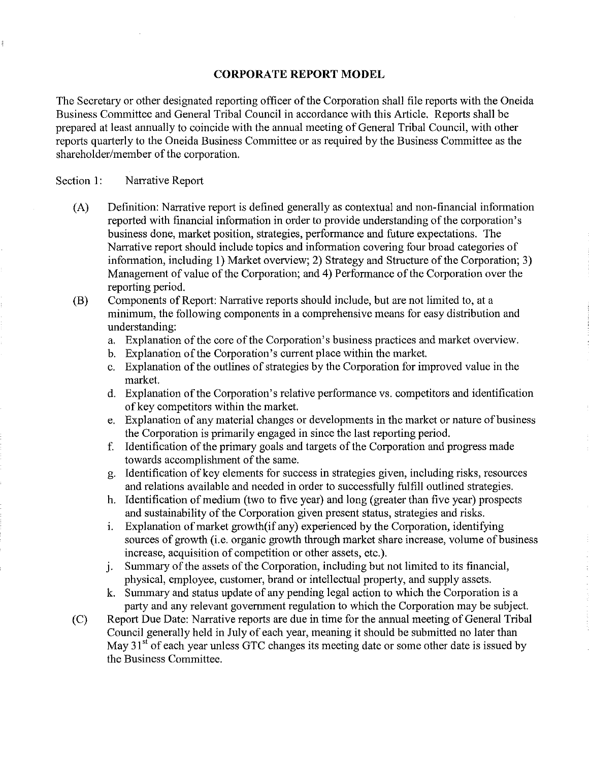### **CORPORATE REPORT MODEL**

The Secretary or other designated reporting officer of the Corporation shall file reports with the Oneida Business Committee and General Tribal Council in accordance with this Article. Reports shall be prepared at least annually to coincide with the annual meeting of General Tribal Council, with other reports quarterly to the Oneida Business Committee or as required by the Business Committee as the shareholder/member of the corporation.

### Section 1: Narrative Report

- (A) Definition: Narrative report is defined generally as contextual and non-financial information reported with financial information in order to provide understanding of the corporation's business done, market position, strategies, performance and future expectations. The Narrative report should include topics and information covering four broad categories of information, including **1)** Market overview; 2) Strategy and Structure of the Corporation; 3) Management of value of the Corporation; and **4)** Performance of the Corporation over the reporting period.
- (B) Components of Report: Narrative reports should include, but are not limited to, at a minimum, the following components in a comprehensive means for easy distribution and understanding:
	- a. Explanation of the core of the Corporation's business practices and market overview.
	- b. Explanation of the Corporation's current place within the market.
	- c. Explanation of the outlines of strategies by the Corporation for improved value in the market.
	- d. Explanation of the Corporation's relative performance vs. competitors and identification of key competitors within the market.
	- e. Explanation of any material changes or developments in the market or nature of business the Corporation is primarily engaged in since the last reporting period.
	- f. Identification of the primary goals and targets of the Corporation and progress made towards accomplishment of the same.
	- g. Identification of key elements for success in strategies given, including risks, resources and relations available and needed in order to successfully fulfill outlined strategies.
	- h. Identification of medium (two to five year) and long (greater than five year) prospects and sustainability of the Corporation given present status, strategies and risks.
	- 1. Explanation of market growth(if any) experienced by the Corporation, identifying sources of growth (i.e. organic growth through market share increase, volume of business increase, acquisition of competition or other assets, etc.).
	- j. Summary of the assets of the Corporation, including but not limited to its financial, physical, employee, customer, brand or intellectual property, and supply assets.
	- k. Summary and status update of any pending legal action to which the Corporation is a party and any relevant government regulation to which the Corporation may be subject.
- (C) Report Due Date: Narrative reports are due in time for the annual meeting of General Tribal Council generally held in July of each year, meaning it should be submitted no later than May  $31<sup>st</sup>$  of each year unless GTC changes its meeting date or some other date is issued by the Business Committee.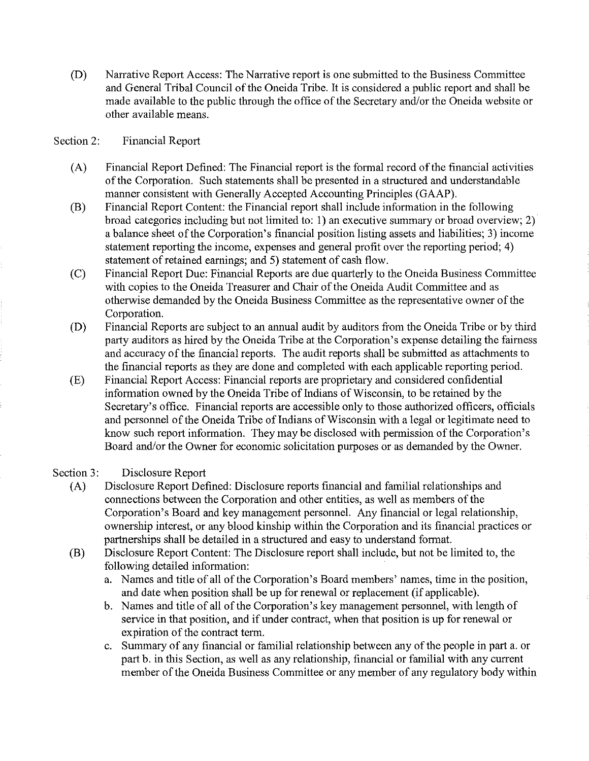(D) Narrative Report Access: The Narrative report is one submitted to the Business Committee and General Tribal Council of the Oneida Tribe. It is considered a public report and shall be made available to the public through the office of the Secretary and/or the Oneida website or other available means.

#### Section 2: Financial Report

- (A) Financial Report Defined: The Financial report is the formal record of the financial activities of the Corporation. Such statements shall be presented in a structured and understandable manner consistent with Generally Accepted Accounting Principles (GAAP).
- (B) Financial Report Content: the Financial report shall include information in the following broad categories including but not limited to: 1) an executive summary or broad overview; 2) a balance sheet of the Corporation's financial position listing assets and liabilities; 3) income statement reporting the income, expenses and general profit over the reporting period; 4) statement of retained earnings; and 5) statement of cash flow.
- (C) Financial Report Due: Financial Reports are due quarterly to the Oneida Business Committee with copies to the Oneida Treasurer and Chair of the Oneida Audit Committee and as otherwise demanded by the Oneida Business Committee as the representative owner of the Corporation.
- (D) Financial Reports are subject to an annual audit by auditors from the Oneida Tribe or by third party auditors as hired by the Oneida Tribe at the Corporation's expense detailing the fairness and accuracy of the financial reports. The audit reports shall be submitted as attachments to the financial reports as they are done and completed with each applicable reporting period.
- (E) Financial Report Access: Financial reports are proprietary and considered confidential information owned by the Oneida Tribe of Indians of Wisconsin, to be retained by the Secretary's office. Financial reports are accessible only to those authorized officers, officials and personnel of the Oneida Tribe of Indians of Wisconsin with a legal or legitimate need to know such report information. They may be disclosed with permission of the Corporation's Board and/or the Owner for economic solicitation purposes or as demanded by the Owner.

#### Section 3: Disclosure Report

- (A) Disclosure Report Defined: Disclosure reports financial and familial relationships and connections between the Corporation and other entities, as well as members of the Corporation's Board and key management personnel. Any financial or legal relationship, ownership interest, or any blood kinship within the Corporation and its financial practices or partnerships shall be detailed in a structured and easy to understand format.
- (B) Disclosure Report Content: The Disclosure report shall include, but not be limited to, the following detailed information:
	- a. Names and title of all of the Corporation's Board members' names, time in the position, and date when position shall be up for renewal or replacement (if applicable).
	- b. Names and title of all of the Corporation's key management personnel, with length of service in that position, and if under contract, when that position is up for renewal or expiration of the contract term.
	- c. Summary of any financial or familial relationship between any of the people in part a. or part b. in this Section, as well as any relationship, financial or familial with any current member of the Oneida Business Committee or any member of any regulatory body within